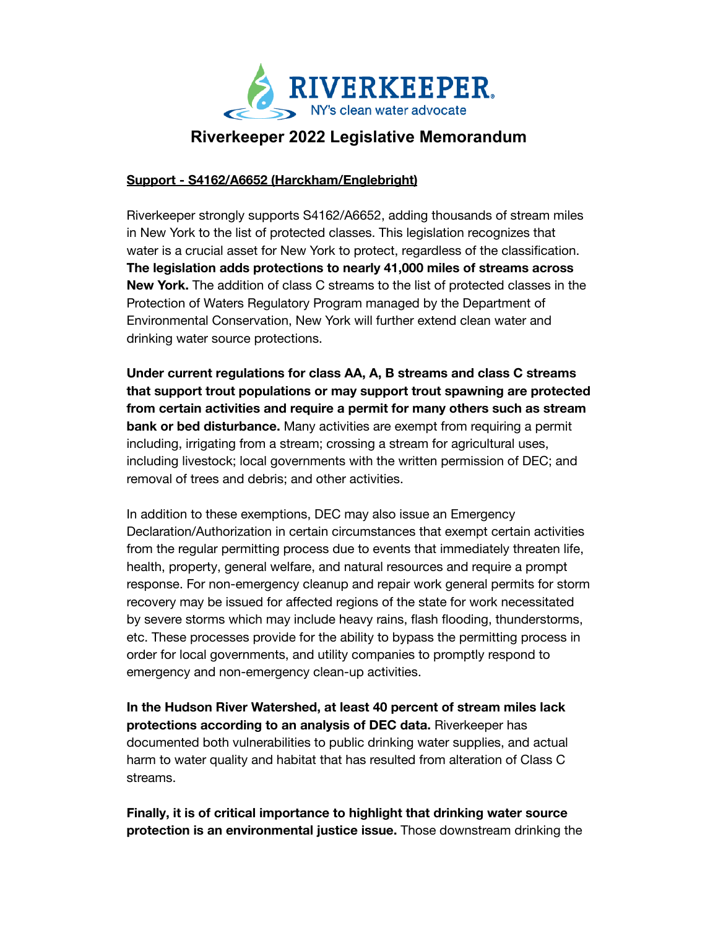

## **Riverkeeper 2022 Legislative Memorandum**

## **Support - S4162/A6652 (Harckham/Englebright)**

Riverkeeper strongly supports S4162/A6652, adding thousands of stream miles in New York to the list of protected classes. This legislation recognizes that water is a crucial asset for New York to protect, regardless of the classification. **The legislation adds protections to nearly 41,000 miles of streams across New York.** The addition of class C streams to the list of protected classes in the Protection of Waters Regulatory Program managed by the Department of Environmental Conservation, New York will further extend clean water and drinking water source protections.

**Under current regulations for class AA, A, B streams and class C streams that support trout populations or may support trout spawning are protected from certain activities and require a permit for many others such as stream bank or bed disturbance.** Many activities are exempt from requiring a permit including, irrigating from a stream; crossing a stream for agricultural uses, including livestock; local governments with the written permission of DEC; and removal of trees and debris; and other activities.

In addition to these exemptions, DEC may also issue an Emergency Declaration/Authorization in certain circumstances that exempt certain activities from the regular permitting process due to events that immediately threaten life, health, property, general welfare, and natural resources and require a prompt response. For non-emergency cleanup and repair work general permits for storm recovery may be issued for affected regions of the state for work necessitated by severe storms which may include heavy rains, flash flooding, thunderstorms, etc. These processes provide for the ability to bypass the permitting process in order for local governments, and utility companies to promptly respond to emergency and non-emergency clean-up activities.

**In the Hudson River Watershed, at least 40 percent of stream miles lack protections according to an analysis of DEC data.** Riverkeeper has documented both vulnerabilities to public drinking water supplies, and actual harm to water quality and habitat that has resulted from alteration of Class C streams.

**Finally, it is of critical importance to highlight that drinking water source protection is an environmental justice issue.** Those downstream drinking the